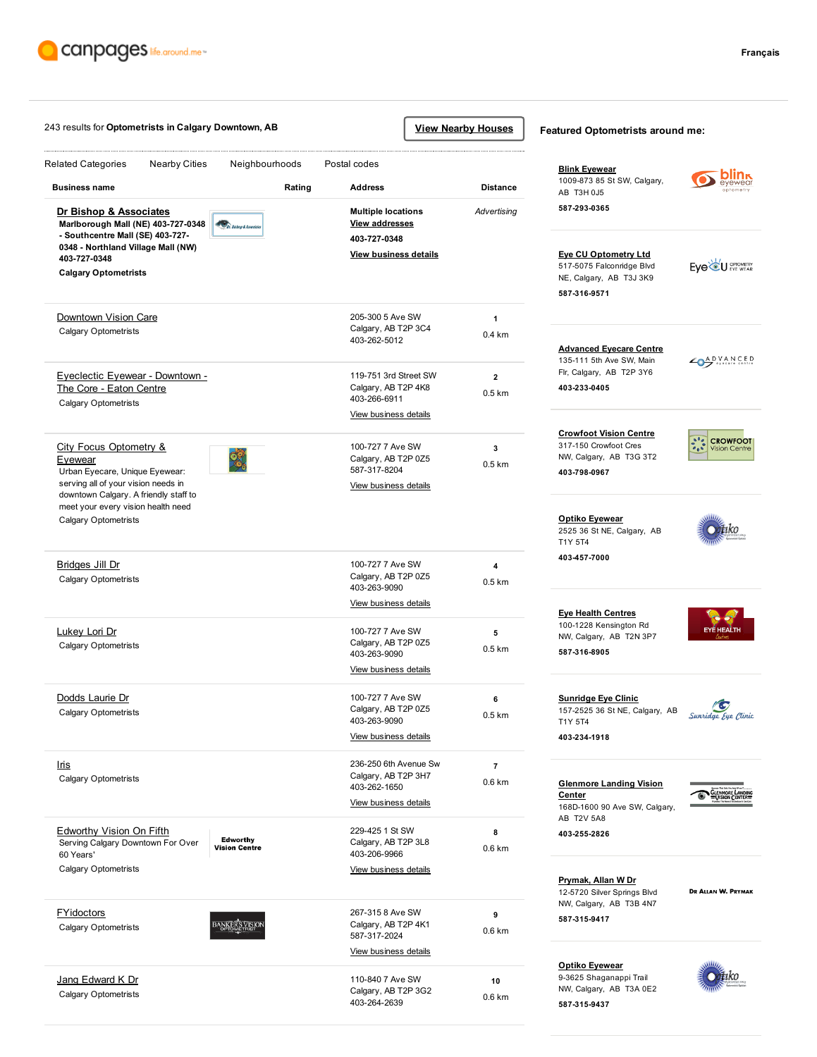

|                                                                                                                                                                                       | 243 results for Optometrists in Calgary Downtown, AB |                                                                                             |                                                         | <b>View Nearby Houses</b>          | Featured Optometrists around me:                                                                                    |                                                          |
|---------------------------------------------------------------------------------------------------------------------------------------------------------------------------------------|------------------------------------------------------|---------------------------------------------------------------------------------------------|---------------------------------------------------------|------------------------------------|---------------------------------------------------------------------------------------------------------------------|----------------------------------------------------------|
| <b>Related Categories</b><br><b>Nearby Cities</b><br><b>Business name</b>                                                                                                             | Neighbourhoods<br>Rating                             | Postal codes<br><b>Address</b>                                                              |                                                         | <b>Distance</b>                    | <b>Blink Eyewear</b><br>1009-873 85 St SW, Calgary,<br>AB T3H 0J5                                                   | eyewea                                                   |
| Dr Bishop & Associates<br>Marlborough Mall (NE) 403-727-0348<br>- Southcentre Mall (SE) 403-727-<br>0348 - Northland Village Mall (NW)<br>403-727-0348<br><b>Calgary Optometrists</b> | Dr. Bishop & Associate.                              | <b>Multiple locations</b><br><b>View addresses</b><br>403-727-0348<br>View business details |                                                         | Advertising                        | 587-293-0365<br><b>Eye CU Optometry Ltd</b><br>517-5075 Falconridge Blvd<br>NE, Calgary, AB T3J 3K9<br>587-316-9571 | Eye <sup>ld</sup> U <b>CPTOMETRY</b>                     |
| Downtown Vision Care<br><b>Calgary Optometrists</b>                                                                                                                                   |                                                      |                                                                                             | 205-300 5 Ave SW<br>Calgary, AB T2P 3C4<br>403-262-5012 |                                    | <b>Advanced Eyecare Centre</b>                                                                                      |                                                          |
| Eyeclectic Eyewear - Downtown -<br>The Core - Eaton Centre<br><b>Calgary Optometrists</b>                                                                                             |                                                      | 119-751 3rd Street SW<br>Calgary, AB T2P 4K8<br>403-266-6911<br>View business details       |                                                         | $\overline{2}$<br>0.5 km           | 135-111 5th Ave SW, Main<br>Flr, Calgary, AB T2P 3Y6<br>403-233-0405                                                | ADVANCED                                                 |
| <b>City Focus Optometry &amp;</b><br><b>Evewear</b><br>Urban Eyecare, Unique Eyewear:<br>serving all of your vision needs in<br>downtown Calgary. A friendly staff to                 | 98                                                   | 100-727 7 Ave SW<br>Calgary, AB T2P 0Z5<br>587-317-8204<br>View business details            |                                                         | $\overline{\mathbf{3}}$<br>0.5 km  | <b>Crowfoot Vision Centre</b><br>317-150 Crowfoot Cres<br>NW, Calgary, AB T3G 3T2<br>403-798-0967                   | $\frac{1}{2}$<br><b>CROWFOOT</b><br><b>Vision Centre</b> |
| meet your every vision health need<br><b>Calgary Optometrists</b>                                                                                                                     |                                                      |                                                                                             |                                                         |                                    | <b>Optiko Eyewear</b><br>2525 36 St NE, Calgary, AB<br>T1Y 5T4                                                      |                                                          |
| <u>Bridges Jill Dr</u><br><b>Calgary Optometrists</b>                                                                                                                                 |                                                      | 100-727 7 Ave SW<br>Calgary, AB T2P 0Z5<br>403-263-9090<br>View business details            |                                                         | 4<br>$0.5$ km                      | 403-457-7000                                                                                                        |                                                          |
| Lukey Lori Dr<br><b>Calgary Optometrists</b>                                                                                                                                          |                                                      | 100-727 7 Ave SW<br>Calgary, AB T2P 0Z5<br>403-263-9090<br>View business details            |                                                         | 5<br>0.5 km                        | <b>Eye Health Centres</b><br>100-1228 Kensington Rd<br>NW, Calgary, AB T2N 3P7<br>587-316-8905                      | <b>EYÉ HEALTH</b>                                        |
| Dodds Laurie Dr<br><b>Calgary Optometrists</b>                                                                                                                                        |                                                      | 100-727 7 Ave SW<br>Calgary, AB T2P 0Z5<br>403-263-9090<br>View business details            |                                                         | 6<br>$0.5 \text{ km}$              | <b>Sunridge Eye Clinic</b><br>157-2525 36 St NE, Calgary, AB<br>T1Y 5T4<br>403-234-1918                             | c,<br>Sunridge Eye Clinic                                |
| Iris<br><b>Calgary Optometrists</b>                                                                                                                                                   |                                                      | 236-250 6th Avenue Sw<br>Calgary, AB T2P 3H7<br>403-262-1650<br>View business details       |                                                         | $\overline{7}$<br>$0.6 \text{ km}$ | <b>Glenmore Landing Vision</b><br><b>Center</b><br>168D-1600 90 Ave SW, Calgary,                                    | GLENMORE LANDING                                         |
| Edworthy Vision On Fifth<br>Serving Calgary Downtown For Over<br>60 Years'<br><b>Calgary Optometrists</b>                                                                             | <b>Edworthy</b><br><b>Vision Centre</b>              | 229-425 1 St SW<br>Calgary, AB T2P 3L8<br>403-206-9966<br>View business details             |                                                         | 8<br>0.6 km                        | AB T2V 5A8<br>403-255-2826                                                                                          |                                                          |
| <b>FYidoctors</b><br><b>Calgary Optometrists</b>                                                                                                                                      | <b>BANKER'S VISION</b>                               | 267-315 8 Ave SW<br>Calgary, AB T2P 4K1<br>587-317-2024                                     |                                                         | 9<br>0.6 km                        | <b>Prymak, Allan W Dr</b><br>12-5720 Silver Springs Blvd<br>NW, Calgary, AB T3B 4N7<br>587-315-9417                 | DR ALLAN W. PRYMAK                                       |
| Jang Edward K Dr                                                                                                                                                                      |                                                      | View business details<br>110-840 7 Ave SW                                                   |                                                         | 10                                 | <b>Optiko Eyewear</b><br>9-3625 Shaganappi Trail                                                                    |                                                          |
| <b>Calgary Optometrists</b>                                                                                                                                                           |                                                      | Calgary, AB T2P 3G2<br>403-264-2639                                                         |                                                         | 0.6 km                             | NW, Calgary, AB T3A 0E2<br>587-315-9437                                                                             |                                                          |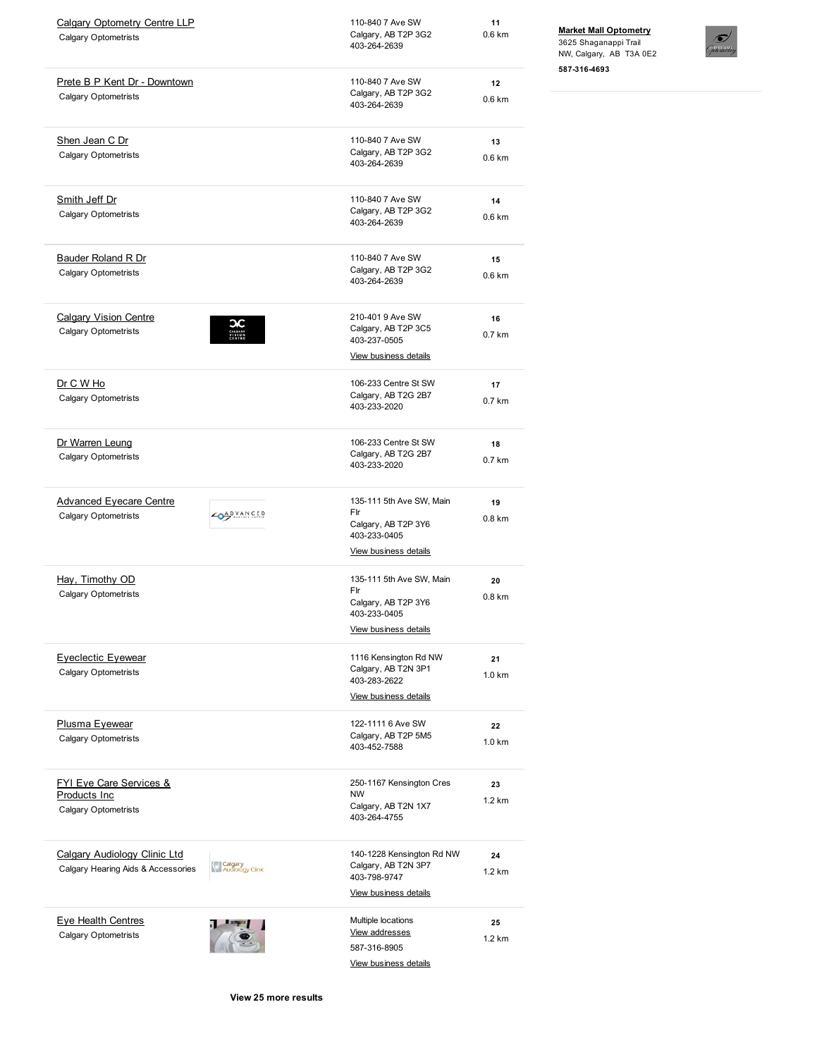| <b>Calgary Optometry Centre LLP</b><br><b>Calgary Optometrists</b>                        |                             | 110-840 7 Ave SW<br>Calgary, AB T2P 3G2<br>403-264-2639                                                | 11<br>0.6 km            |
|-------------------------------------------------------------------------------------------|-----------------------------|--------------------------------------------------------------------------------------------------------|-------------------------|
| Prete B P Kent Dr - Downtown<br><b>Calgary Optometrists</b>                               |                             | 110-840 7 Ave SW<br>Calgary, AB T2P 3G2<br>403-264-2639                                                | 12<br>0.6 km            |
| Shen Jean C Dr<br><b>Calgary Optometrists</b>                                             |                             | 110-840 7 Ave SW<br>Calgary, AB T2P 3G2<br>403-264-2639                                                | 13<br>0.6 km            |
| Smith Jeff Dr<br><b>Calgary Optometrists</b>                                              |                             | 110-840 7 Ave SW<br>Calgary, AB T2P 3G2<br>403-264-2639                                                | 14<br>0.6 km            |
| <b>Bauder Roland R Dr</b><br><b>Calgary Optometrists</b>                                  |                             | 110-840 7 Ave SW<br>Calgary, AB T2P 3G2<br>403-264-2639                                                | 15<br>0.6 km            |
| <b>Calgary Vision Centre</b><br><b>Calgary Optometrists</b>                               |                             | 210-401 9 Ave SW<br>Calgary, AB T2P 3C5<br>403-237-0505<br>View business details                       | 16<br>0.7 km            |
| Dr C W Ho<br><b>Calgary Optometrists</b>                                                  |                             | 106-233 Centre St SW<br>Calgary, AB T2G 2B7<br>403-233-2020                                            | 17<br>0.7 km            |
| Dr Warren Leung<br><b>Calgary Optometrists</b>                                            |                             | 106-233 Centre St SW<br>Calgary, AB T2G 2B7<br>403-233-2020                                            | 18<br>0.7 km            |
| <b>Advanced Eyecare Centre</b><br><b>Calgary Optometrists</b>                             | CAPVANCED                   | 135-111 5th Ave SW, Main<br>Flr<br>Calgary, AB T2P 3Y6<br>403-233-0405<br>View business details        | 19<br>0.8 <sub>km</sub> |
| Hay, Timothy OD<br><b>Calgary Optometrists</b>                                            |                             | 135-111 5th Ave SW, Main<br>Flr<br>Calgary, AB T2P 3Y6<br>403-233-0405<br><b>View business details</b> | 20<br>0.8 km            |
| <b>Eveclectic Evewear</b><br><b>Calgary Optometrists</b>                                  |                             | 1116 Kensington Rd NW<br>Calgary, AB T2N 3P1<br>403-283-2622<br>View business details                  | 21<br>1.0 km            |
| <b>Plusma Eyewear</b><br><b>Calgary Optometrists</b>                                      |                             | 122-1111 6 Ave SW<br>Calgary, AB T2P 5M5<br>403-452-7588                                               | 22<br>$1.0 \text{ km}$  |
| <b>FYI Eye Care Services &amp;</b><br><b>Products Inc.</b><br><b>Calgary Optometrists</b> |                             | 250-1167 Kensington Cres<br><b>NW</b><br>Calgary, AB T2N 1X7<br>403-264-4755                           | 23<br>$1.2 \text{ km}$  |
| <b>Calgary Audiology Clinic Ltd</b><br>Calgary Hearing Aids & Accessories                 | Calgary<br>Audiology Clinic | 140-1228 Kensington Rd NW<br>Calgary, AB T2N 3P7<br>403-798-9747<br>View business details              | 24<br>$1.2 \text{ km}$  |
| <b>Eye Health Centres</b><br><b>Calgary Optometrists</b>                                  |                             | Multiple locations<br>View addresses<br>587-316-8905<br>View business details                          | 25<br>1.2 km            |

## Market Mall [Optometry](http://www.canpages.ca/page/AB/calgary/market-mall-optometry/100488517?na=Optometrists&city=Calgary+Downtown%2C+Calgary&prov=AB&pc=T2K+1T5&nr=0&back=%2Fbusiness%2FAB%2Fcalgary%2Fcalgary-downtown%2Foptometrists%2F91N254-577800.html)

3625 Shaganappi Trail NW, Calgary, AB T3A 0E2 5873164693



View 25 more results